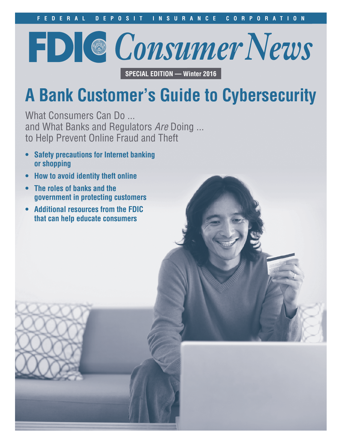**FEDERAL DEPOSIT INSURANCE CORPORATION**



**SPECIAL EDITION — Winter 2016**

# **A Bank Customer's Guide to Cybersecurity**

What Consumers Can Do ... and What Banks and Regulators Are Doing ... to Help Prevent Online Fraud and Theft

- **Safety precautions for Internet banking** *<u><b>Or shopping</u>*
- **How to avoid identity theft online**
- **The roles of banks and the government in protecting customers**
- Additional resources from the FDIC **that can help educate consumers**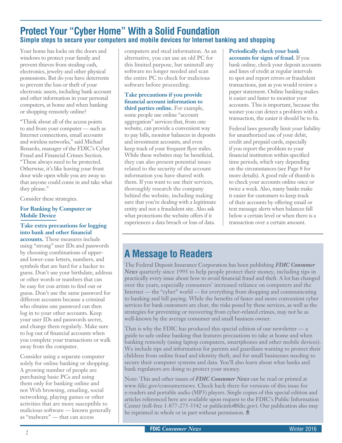### **Protect Your "Cyber Home" With a Solid Foundation Simple steps to secure your computers and mobile devices for Internet banking and shopping**

Your home has locks on the doors and windows to protect your family and prevent thieves from stealing cash, electronics, jewelry and other physical possessions. But do you have deterrents to prevent the loss or theft of your electronic assets, including bank account and other information in your personal computers, at home and when banking or shopping remotely online?

"Think about all of the access points to and from your computer — such as Internet connections, email accounts and wireless networks," said Michael Benardo, manager of the FDIC's Cyber Fraud and Financial Crimes Section. "These always need to be protected. Otherwise, it's like leaving your front door wide open while you are away so that anyone could come in and take what they please."

Consider these strategies.

### **For Banking by Computer or Mobile Device**

### **Take extra precautions for logging into bank and other financial**

**accounts.** These measures include using "strong" user IDs and passwords by choosing combinations of upperand lower-case letters, numbers, and symbols that are hard for a hacker to guess. Don't use your birthdate, address or other words or numbers that can be easy for con artists to find out or guess. Don't use the same password for different accounts because a criminal who obtains one password can then log in to your other accounts. Keep your user IDs and passwords secret, and change them regularly. Make sure to log out of financial accounts when you complete your transactions or walk away from the computer.

Consider using a separate computer solely for online banking or shopping. A growing number of people are purchasing basic PCs and using them only for banking online and not Web browsing, emailing, social networking, playing games or other activities that are more susceptible to malicious software — known generally as "malware" — that can access

computers and steal information. As an alternative, you can use an old PC for this limited purpose, but uninstall any software no longer needed and scan the entire PC to check for malicious software before proceeding.

#### **Take precautions if you provide financial account information to third parties online.** For example,

some people use online "account aggregation" services that, from one website, can provide a convenient way to pay bills, monitor balances in deposits and investment accounts, and even keep track of your frequent flyer miles. While these websites may be beneficial, they can also present potential issues related to the security of the account information you have shared with them. If you want to use their services, thoroughly research the company behind the website, including making sure that you're dealing with a legitimate entity and not a fraudulent site. Also ask what protections the website offers if it experiences a data breach or loss of data.

#### **Periodically check your bank accounts for signs of fraud.** If you

bank online, check your deposit accounts and lines of credit at regular intervals to spot and report errors or fraudulent transactions, just as you would review a paper statement. Online banking makes it easier and faster to monitor your accounts. This is important, because the sooner you can detect a problem with a transaction, the easier it should be to fix.

Federal laws generally limit your liability for unauthorized use of your debit, credit and prepaid cards, especially if you report the problem to your financial institution within specified time periods, which vary depending on the circumstances (see Page 8 for more details). A good rule of thumb is to check your accounts online once or twice a week. Also, many banks make it easier for customers to keep track of their accounts by offering email or text message alerts when balances fall below a certain level or when there is a transaction over a certain amount.

### **A Message to Readers**

The Federal Deposit Insurance Corporation has been publishing *FDIC Consumer News* quarterly since 1993 to help people protect their money, including tips in practically every issue about how to avoid financial fraud and theft. A lot has changed over the years, especially consumers' increased reliance on computers and the Internet — the "cyber" world — for everything from shopping and communicating to banking and bill paying. While the benefits of faster and more convenient cyber services for bank customers are clear, the risks posed by these services, as well as the strategies for preventing or recovering from cyber-related crimes, may not be as well-known by the average consumer and small business owner.

That is why the FDIC has produced this special edition of our newsletter — a guide to safe online banking that features precautions to take at home and when banking remotely (using laptop computers, smartphones and other mobile devices). We include tips and information for parents and guardians wanting to protect their children from online fraud and identity theft, and for small businesses needing to secure their computer systems and data. You'll also learn about what banks and bank regulators are doing to protect your money.

Note: This and other issues of *FDIC Consumer News* can be read or printed at www.fdic.gov/consumernews. Check back there for versions of this issue for e-readers and portable audio (MP3) players. Single copies of this special edition and articles referenced here are available upon request to the FDIC's Public Information Center (toll-free 1-877-275-3342 or publicinfo@fdic.gov). Our publication also may be reprinted in whole or in part without permission.  $\mathbf{\hat{m}}$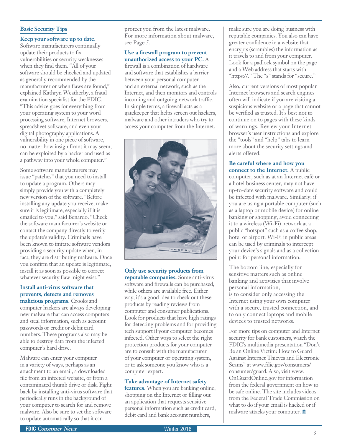### **Basic Security Tips**

#### **Keep your software up to date.**

Software manufacturers continually update their products to fix vulnerabilities or security weaknesses when they find them. "All of your software should be checked and updated as generally recommended by the manufacturer or when flaws are found," explained Kathryn Weatherby, a fraud examination specialist for the FDIC. "This advice goes for everything from your operating system to your word processing software, Internet browsers, spreadsheet software, and even your digital photography applications. A vulnerability in one piece of software, no matter how insignificant it may seem, can be exploited by a hacker and used as a pathway into your whole computer."

Some software manufacturers may issue "patches" that you need to install to update a program. Others may simply provide you with a completely new version of the software. "Before installing any update you receive, make sure it is legitimate, especially if it is emailed to you," said Benardo. "Check the software manufacturer's website or contact the company directly to verify the update's validity. Criminals have been known to imitate software vendors providing a security update when, in fact, they are distributing malware. Once you confirm that an update is legitimate, install it as soon as possible to correct whatever security flaw might exist."

#### **Install anti-virus software that prevents, detects and removes malicious programs.** Crooks and

computer hackers are always developing new malware that can access computers and steal information, such as account passwords or credit or debit card numbers. These programs also may be able to destroy data from the infected computer's hard drive.

Malware can enter your computer in a variety of ways, perhaps as an attachment to an email, a downloaded file from an infected website, or from a contaminated thumb drive or disk. Fight back by installing anti-virus software that periodically runs in the background of your computer to search for and remove malware. Also be sure to set the software to update automatically so that it can

protect you from the latest malware. For more information about malware, see Page 5.

#### **Use a firewall program to prevent unauthorized access to your PC.** A

firewall is a combination of hardware and software that establishes a barrier between your personal computer and an external network, such as the Internet, and then monitors and controls incoming and outgoing network traffic. In simple terms, a firewall acts as a gatekeeper that helps screen out hackers, malware and other intruders who try to access your computer from the Internet.



**Only use security products from reputable companies.** Some anti-virus software and firewalls can be purchased, while others are available free. Either way, it's a good idea to check out these products by reading reviews from computer and consumer publications. Look for products that have high ratings for detecting problems and for providing tech support if your computer becomes infected. Other ways to select the right protection products for your computer are to consult with the manufacturer of your computer or operating system, or to ask someone you know who is a computer expert.

### **Take advantage of Internet safety**

**features.** When you are banking online, shopping on the Internet or filling out an application that requests sensitive personal information such as credit card, debit card and bank account numbers.

make sure you are doing business with reputable companies. You also can have greater confidence in a website that encrypts (scrambles) the information as it travels to and from your computer. Look for a padlock symbol on the page and a Web address that starts with "https://." The "s" stands for "secure."

Also, current versions of most popular Internet browsers and search engines often will indicate if you are visiting a suspicious website or a page that cannot be verified as trusted. It's best not to continue on to pages with these kinds of warnings. Review your Internet browser's user instructions and explore the "tools" and "help" tabs to learn more about the security settings and alerts offered.

**Be careful where and how you connect to the Internet.** A public computer, such as at an Internet café or a hotel business center, may not have up-to-date security software and could be infected with malware. Similarly, if you are using a portable computer (such as a laptop or mobile device) for online banking or shopping, avoid connecting it to a wireless (Wi-Fi) network at a public "hotspot" such as a coffee shop, hotel or airport. Wi-Fi in public areas can be used by criminals to intercept your device's signals and as a collection point for personal information.

The bottom line, especially for sensitive matters such as online banking and activities that involve personal information, is to consider only accessing the Internet using your own computer with a secure, trusted connection, and to only connect laptops and mobile devices to trusted networks.

For more tips on computer and Internet security for bank customers, watch the FDIC's multimedia presentation "Don't Be an Online Victim: How to Guard Against Internet Thieves and Electronic Scams" at www.fdic.gov/consumers/ consumer/guard. Also, visit www. OnGuardOnline.gov for information from the federal government on how to be safe online. The site includes videos from the Federal Trade Commission on what to do if your email is hacked or if malware attacks your computer.  $\mathbf{m}$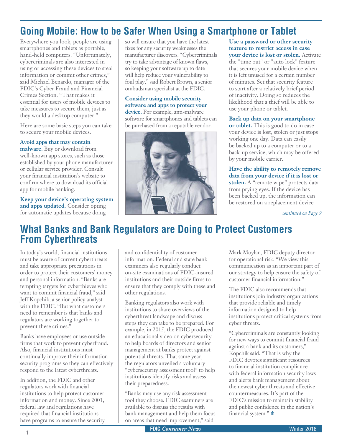# **Going Mobile: How to be Safer When Using a Smartphone or Tablet**

Everywhere you look, people are using smartphones and tablets as portable, hand-held computers. "Unfortunately, cybercriminals are also interested in using or accessing these devices to steal information or commit other crimes," said Michael Benardo, manager of the FDIC's Cyber Fraud and Financial Crimes Section. "That makes it essential for users of mobile devices to take measures to secure them, just as they would a desktop computer."

Here are some basic steps you can take to secure your mobile devices.

#### **Avoid apps that may contain**

**malware.** Buy or download from well-known app stores, such as those established by your phone manufacturer or cellular service provider. Consult your financial institution's website to confirm where to download its official app for mobile banking.

**Keep your device's operating system and apps updated.** Consider opting for automatic updates because doing

so will ensure that you have the latest fixes for any security weaknesses the manufacturer discovers. "Cybercriminals try to take advantage of known flaws, so keeping your software up to date will help reduce your vulnerability to foul play," said Robert Brown, a senior ombudsman specialist at the FDIC.

#### **Consider using mobile security software and apps to protect your device.** For example, anti-malware

software for smartphones and tablets can be purchased from a reputable vendor.



**Use a password or other security feature to restrict access in case your device is lost or stolen.** Activate the "time out" or "auto lock" feature that secures your mobile device when it is left unused for a certain number of minutes. Set that security feature to start after a relatively brief period of inactivity. Doing so reduces the likelihood that a thief will be able to use your phone or tablet.

#### **Back up data on your smartphone or tablet.** This is good to do in case your device is lost, stolen or just stops working one day. Data can easily be backed up to a computer or to a back-up service, which may be offered by your mobile carrier.

**Have the ability to remotely remove data from your device if it is lost or stolen.** A "remote wipe" protects data from prying eyes. If the device has been backed up, the information can be restored on a replacement device

*continued on Page 9*

### **What Banks and Bank Regulators are Doing to Protect Customers From Cyberthreats**

In today's world, financial institutions must be aware of current cyberthreats and take appropriate precautions in order to protect their customers' money and personal information. "Banks are tempting targets for cyberthieves who want to commit financial fraud," said Jeff Kopchik, a senior policy analyst with the FDIC. "But what customers need to remember is that banks and regulators are working together to prevent these crimes."

Banks have employees or use outside firms that work to prevent cyberfraud. Also, financial institutions must continually improve their information security programs so they can effectively respond to the latest cyberthreats.

In addition, the FDIC and other regulators work with financial institutions to help protect customer information and money. Since 2001, federal law and regulations have required that financial institutions have programs to ensure the security and confidentiality of customer information. Federal and state bank examiners also regularly conduct on-site examinations of FDIC-insured institutions and their outside firms to ensure that they comply with these and other regulations.

Banking regulators also work with institutions to share overviews of the cyberthreat landscape and discuss steps they can take to be prepared. For example, in 2015, the FDIC produced an educational video on cybersecurity to help boards of directors and senior management at banks protect against potential threats. That same year, the regulators unveiled a voluntary "cybersecurity assessment tool" to help institutions identify risks and assess their preparedness.

"Banks may use any risk assessment tool they choose. FDIC examiners are available to discuss the results with bank management and help them focus on areas that need improvement," said

Mark Moylan, FDIC deputy director for operational risk. "We view this communication as an important part of our strategy to help ensure the safety of customer financial information."

The FDIC also recommends that institutions join industry organizations that provide reliable and timely information designed to help institutions protect critical systems from cyber threats.

"Cybercriminals are constantly looking for new ways to commit financial fraud against a bank and its customers," Kopchik said. "That is why the FDIC devotes significant resources to financial institution compliance with federal information security laws and alerts bank management about the newest cyber threats and effective countermeasures. It's part of the FDIC's mission to maintain stability and public confidence in the nation's financial system."  $\blacksquare$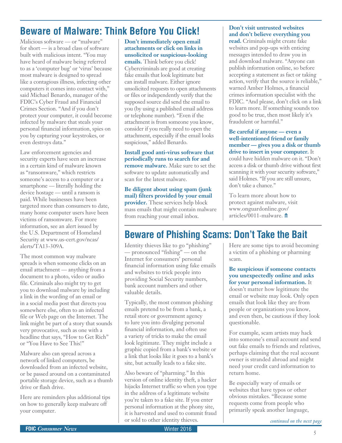## **Beware of Malware: Think Before You Click!**

Malicious software — or "malware" for short — is a broad class of software built with malicious intent. "You may have heard of malware being referred to as a 'computer bug' or 'virus' because most malware is designed to spread like a contagious illness, infecting other computers it comes into contact with," said Michael Benardo, manager of the FDIC's Cyber Fraud and Financial Crimes Section. "And if you don't protect your computer, it could become infected by malware that steals your personal financial information, spies on you by capturing your keystrokes, or even destroys data."

Law enforcement agencies and security experts have seen an increase in a certain kind of malware known as "ransomware," which restricts someone's access to a computer or a smartphone — literally holding the device hostage — until a ransom is paid. While businesses have been targeted more than consumers to date, many home computer users have been victims of ransomware. For more information, see an alert issued by the U.S. Department of Homeland Security at www.us-cert.gov/ncas/ alerts/TA13-309A.

The most common way malware spreads is when someone clicks on an email attachment — anything from a document to a photo, video or audio file. Criminals also might try to get you to download malware by including a link in the wording of an email or in a social media post that directs you somewhere else, often to an infected file or Web page on the Internet. The link might be part of a story that sounds very provocative, such as one with a headline that says, "How to Get Rich" or "You Have to See This!"

Malware also can spread across a network of linked computers, be downloaded from an infected website, or be passed around on a contaminated portable storage device, such as a thumb drive or flash drive.

Here are reminders plus additional tips on how to generally keep malware off your computer.

**Don't immediately open email attachments or click on links in unsolicited or suspicious-looking emails.** Think before you click! Cybercriminals are good at creating fake emails that look legitimate but can install malware. Either ignore unsolicited requests to open attachments or files or independently verify that the supposed source did send the email to you (by using a published email address or telephone number). "Even if the attachment is from someone you know, consider if you really need to open the attachment, especially if the email looks suspicious," added Benardo.

**Install good anti-virus software that periodically runs to search for and remove malware.** Make sure to set the software to update automatically and scan for the latest malware.

**Be diligent about using spam (junk mail) filters provided by your email provider.** These services help block mass emails that might contain malware from reaching your email inbox.

### **Don't visit untrusted websites and don't believe everything you**

**read.** Criminals might create fake websites and pop-ups with enticing messages intended to draw you in and download malware. "Anyone can publish information online, so before accepting a statement as fact or taking action, verify that the source is reliable," warned Amber Holmes, a financial crimes information specialist with the FDIC. "And please, don't click on a link to learn more. If something sounds too good to be true, then most likely it's fraudulent or harmful."

**Be careful if anyone — even a well-intentioned friend or family member — gives you a disk or thumb drive to insert in your computer.** It could have hidden malware on it. "Don't access a disk or thumb drive without first scanning it with your security software," said Holmes. "If you are still unsure, don't take a chance."

To learn more about how to protect against malware, visit www.onguardonline.gov/ articles/0011-malware.

# **Beware of Phishing Scams: Don't Take the Bait**

Identity thieves like to go "phishing" — pronounced "fishing" — on the Internet for consumers' personal financial information using fake emails and websites to trick people into providing Social Security numbers, bank account numbers and other valuable details.

Typically, the most common phishing emails pretend to be from a bank, a retail store or government agency to lure you into divulging personal financial information, and often use a variety of tricks to make the email look legitimate. They might include a graphic copied from a bank's website or a link that looks like it goes to a bank's site, but actually leads to a fake site.

Also beware of "pharming." In this version of online identity theft, a hacker hijacks Internet traffic so when you type in the address of a legitimate website you're taken to a fake site. If you enter personal information at the phony site, it is harvested and used to commit fraud or sold to other identity thieves.

Here are some tips to avoid becoming a victim of a phishing or pharming scam.

**Be suspicious if someone contacts you unexpectedly online and asks for your personal information.** It doesn't matter how legitimate the email or website may look. Only open emails that look like they are from people or organizations you know, and even then, be cautious if they look questionable.

For example, scam artists may hack into someone's email account and send out fake emails to friends and relatives, perhaps claiming that the real account owner is stranded abroad and might need your credit card information to return home.

Be especially wary of emails or websites that have typos or other obvious mistakes. "Because some requests come from people who primarily speak another language,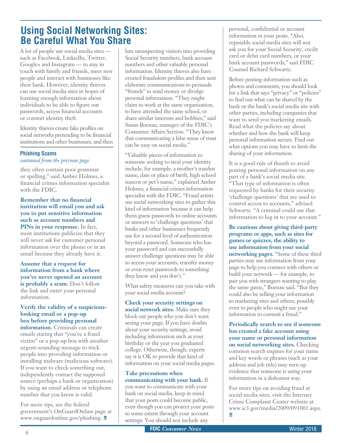### **Using Social Networking Sites: Be Careful What You Share**

A lot of people use social media sites such as Facebook, LinkedIn, Twitter, Google+ and Instagram — to stay in touch with family and friends, meet new people and interact with businesses like their bank. However, identity thieves can use social media sites in hopes of learning enough information about individuals to be able to figure out passwords, access financial accounts or commit identity theft.

Identity thieves create fake profiles on social networks pretending to be financial institutions and other businesses, and then

### **Phishing Scams** *continued from the previous page*

they often contain poor grammar or spelling," said Amber Holmes, a financial crimes information specialist with the FDIC.

**Remember that no financial institution will email you and ask you to put sensitive information such as account numbers and PINs in your response.** In fact, most institutions publicize that they will never ask for customer personal information over the phone or in an email because they already have it.

**Assume that a request for information from a bank where you've never opened an account is probably a scam.** Don't follow the link and enter your personal information.

**Verify the validity of a suspiciouslooking email or a pop-up box before providing personal information.** Criminals can create emails stating that "you're a fraud victim" or a pop-up box with another urgent-sounding message to trick people into providing information or installing malware (malicious software). If you want to check something out, independently contact the supposed source (perhaps a bank or organization) by using an email address or telephone number that you know is valid.

For more tips, see the federal government's OnGuardOnline page at www.onguardonline.gov/phishing.

lure unsuspecting visitors into providing Social Security numbers, bank account numbers and other valuable personal information. Identity thieves also have created fraudulent profiles and then sent elaborate communications to persuade "friends" to send money or divulge personal information. "They might claim to work at the same organization, to have attended the same school, or share similar interests and hobbies," said Susan Boenau, manager of the FDIC's Consumer Affairs Section. "They know that communicating a false sense of trust can be easy on social media."

"Valuable pieces of information to someone seeking to steal your identity include, for example, a mother's maiden name, date or place of birth, high school mascot or pet's name," explained Amber Holmes, a financial crimes information specialist with the FDIC. "Fraud artists use social networking sites to gather this kind of information because it can help them guess passwords to online accounts or answers to 'challenge questions' that banks and other businesses frequently use for a second level of authentication beyond a password. Someone who has your password and can successfully answer challenge questions may be able to access your accounts, transfer money or even reset passwords to something they know and you don't."

What safety measures can you take with your social media account?

**Check your security settings on social network sites.** Make sure they block out people who you don't want seeing your page. If you have doubts about your security settings, avoid including information such as your birthday or the year you graduated college. Otherwise, though, experts say it is OK to provide that kind of information on your social media pages.

### **Take precautions when communicating with your bank.** If

you want to communicate with your bank on social media, keep in mind that your posts could become public, even though you can protect your posts to some extent through your account settings. You should not include any

personal, confidential or account information in your posts. "Also, reputable social media sites will not ask you for your Social Security, credit card or debit card numbers, or your bank account passwords," said FDIC Counsel Richard Schwartz.

Before posting information such as photos and comments, you should look for a link that says "privacy" or "policies" to find out what can be shared by the bank or the bank's social media site with other parties, including companies that want to send you marketing emails. Read what the policies say about whether and how the bank will keep personal information secure. Find out what options you may have to limit the sharing of your information.

It is a good rule of thumb to avoid posting personal information on any part of a bank's social media site. "That type of information is often requested by banks for their security 'challenge questions' that are used to control access to accounts," advised Schwartz. "A criminal could use that information to log in to your account."

**Be cautious about giving third-party programs or apps, such as sites for games or quizzes, the ability to use information from your social networking pages.** "Some of these third parties may use information from your page to help you connect with others or build your network — for example, to pair you with strangers wanting to play the same game," Boenau said. "But they could also be selling your information to marketing sites and others, possibly even to people who might use your information to commit a fraud."

**Periodically search to see if someone has created a fake account using your name or personal information on social networking sites.** Checking common search engines for your name and key words or phrases (such as your address and job title) may turn up evidence that someone is using your information in a dishonest way.

For more tips on avoiding fraud at social media sites, visit the Internet Crime Complaint Center website at www.ic3.gov/media/2009/091001.aspx.  $\hat{m}$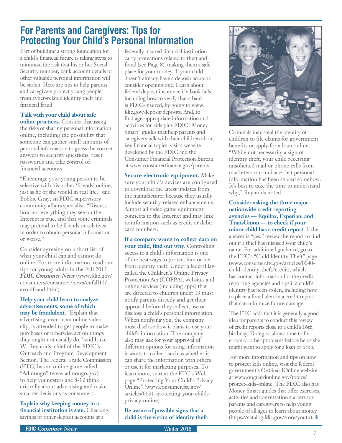### **For Parents and Caregivers: Tips for Protecting Your Child's Personal Information**

Part of building a strong foundation for a child's financial future is taking steps to minimize the risk that his or her Social Security number, bank account details or other valuable personal information will be stolen. Here are tips to help parents and caregivers protect young people from cyber-related identity theft and financial fraud.

**Talk with your child about safe online practices.** Consider discussing the risks of sharing personal information online, including the possibility that someone can gather small amounts of personal information to guess the correct answers to security questions, reset passwords and take control of financial accounts.

"Encourage your young person to be selective with his or her 'friends' online, just as he or she would in real life," said Bobbie Gray, an FDIC supervisory community affairs specialist. "Discuss how not everything they see on the Internet is true, and that some criminals may pretend to be friends or relatives in order to obtain personal information or worse."

Consider agreeing on a short list of what your child can and cannot do online. For more information, read our tips for young adults in the Fall 2012 *FDIC Consumer News* (www.fdic.gov/ consumers/consumer/news/cnfall12/ avoidfraud.html).

### **Help your child learn to analyze advertisements, some of which**

**may be fraudulent.** "Explain that advertising, even in an online video clip, is intended to get people to make purchases or otherwise act on things they might not usually do," said Luke W. Reynolds, chief of the FDIC's Outreach and Program Development Section. The Federal Trade Commission (FTC) has an online game called "Admongo" (www.admongo.gov) to help youngsters age 8-12 think critically about advertising and make smarter decisions as consumers.

**Explain why keeping money in a financial institution is safe.** Checking, savings or other deposit accounts at a

federally insured financial institution carry protections related to theft and fraud (see Page 8), making them a safe place for your money. If your child doesn't already have a deposit account, consider opening one. Learn about federal deposit insurance if a bank fails, including how to verify that a bank is FDIC-insured, by going to www. fdic.gov/deposit/deposits. And, to find age-appropriate information and activities for kids plus FDIC "Money Smart" guides that help parents and caregivers talk with their children about key financial topics, visit a website developed by the FDIC and the Consumer Financial Protection Bureau at www.consumerfinance.gov/parents.

**Secure electronic equipment.** Make sure your child's devices are configured to download the latest updates from the manufacturer because they usually include security-related enhancements. Almost all video game equipment connects to the Internet and may link to information such as credit or debit card numbers.

**If a company wants to collect data on your child, find out why.** Controlling access to a child's information is one of the best ways to protect him or her from identity theft. Under a federal law called the Children's Online Privacy Protection Act (COPPA), websites and online services (including apps) that are directed to children under 13 must notify parents directly and get their approval before they collect, use or disclose a child's personal information. When notifying you, the company must disclose how it plans to use your child's information. The company also may ask for your approval of different options for using information it wants to collect, such as whether it can share the information with others or use it for marketing purposes. To learn more, start at the FTC's Web page "Protecting Your Child's Privacy Online" (www.consumer.ftc.gov/ articles/0031-protecting-your-childsprivacy-online).

**Be aware of possible signs that a child is the victim of identity theft.** 



Criminals may steal the identity of children to file claims for government benefits or apply for a loan online. "While not necessarily a sign of identity theft, your child receiving unsolicited mail or phone calls from marketers can indicate that personal information has been shared somehow. It's best to take the time to understand why," Reynolds noted.

**Consider asking the three major nationwide credit reporting agencies — Equifax, Experian, and TransUnion — to check if your minor child has a credit report.** If the answer is "yes," review the report to find out if a thief has misused your child's name. For additional guidance, go to the FTC's "Child Identity Theft" page (www.consumer.ftc.gov/articles/0040 child-identity-theft#credit), which has contact information for the credit reporting agencies and tips if a child's identity has been stolen, including how to place a fraud alert in a credit report that can minimize future damage.

The FTC adds that it is generally a good idea for parents to conduct this review of credit reports close to a child's 16th birthday. Doing so allows time to fix errors or other problems before he or she might want to apply for a loan or a job.

For more information and tips on how to protect kids online, visit the federal government's OnGuardOnline website at www.onguardonline.gov/topics/ protect-kids-online. The FDIC also has Money Smart guides that offer exercises, activities and conversation starters for parents and caregivers to help young people of all ages to learn about money (https://catalog.fdic.gov/store/youth).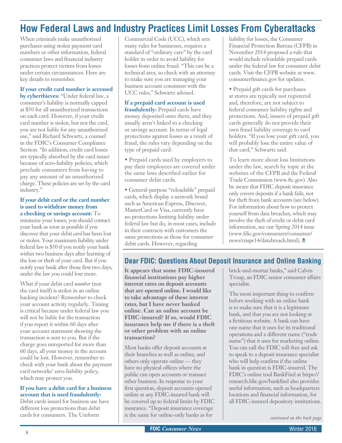# **How Federal Laws and Industry Practices Limit Losses From Cyberattacks**

When criminals make unauthorized purchases using stolen payment card numbers or other information, federal consumer laws and financial industry practices protect victims from losses under certain circumstances. Here are key details to remember.

**If your credit card number is accessed by cyberthieves:** "Under federal law, a consumer's liability is normally capped at \$50 for all unauthorized transactions on each card. However, if your credit card number is stolen, but not the card, you are not liable for any unauthorized use," said Richard Schwartz, a counsel in the FDIC's Consumer Compliance Section. "In addition, credit card losses are typically absorbed by the card issuer because of zero-liability policies, which preclude consumers from having to pay any amount of an unauthorized charge. These policies are set by the card industry."

#### **If your debit card or the card number is used to withdraw money from a checking or savings account:** To

minimize your losses, you should contact your bank as soon as possible if you discover that your debit *card* has been lost or stolen. Your maximum liability under federal law is \$50 if you notify your bank within two business days after learning of the loss or theft of your card. But if you notify your bank after those first two days, under the law you could lose more.

What if your debit card *number* (not the card itself) is stolen in an online hacking incident? Remember to check your account activity regularly. Timing is critical because under federal law you will not be liable for the transaction if you report it within 60 days after your account statement showing the transaction is sent to you. But if the charge goes unreported for more than 60 days, all your money in the account could be lost. However, remember to check with your bank about the payment card networks' zero-liability policy, which may protect you.

### **If you have a debit card for a business account that is used fraudulently:**

Debit cards issued for business use have different loss protections than debit cards for consumers. The Uniform

Commercial Code (UCC), which sets many rules for businesses, requires a standard of "ordinary care" by the card holder in order to avoid liability for losses from online fraud. "This can be a technical area, so check with an attorney to make sure you are managing your business account consistent with the UCC rules," Schwartz advised.

#### **If a prepaid card account is used fraudulently:** Prepaid cards have money deposited onto them, and they

usually aren't linked to a checking or savings account. In terms of legal protections against losses as a result of fraud, the rules vary depending on the type of prepaid card:

• Prepaid cards used by employers to pay their employees are covered under the same laws described earlier for consumer debit cards.

• General-purpose "reloadable" prepaid cards, which display a network brand such as American Express, Discover, MasterCard or Visa, currently have no protections limiting liability under federal law but do, in most cases, include in their contracts with customers the same protections as those for consumer debit cards. However, regarding

liability for losses, the Consumer Financial Protection Bureau (CFPB) in November 2014 proposed a rule that would include reloadable prepaid cards under the federal law for consumer debit cards. Visit the CFPB website at www. consumerfinance.gov for updates.

• Prepaid gift cards for purchases at stores are typically not registered and, therefore, are not subject to federal consumer liability rights and protections. And, issuers of prepaid gift cards generally do not provide their own fraud liability coverage to card holders. "If you lose your gift card, you will probably lose the entire value of that card," Schwartz said.

To learn more about loss limitations under the law, search by topic at the websites of the CFPB and the Federal Trade Commission (www.ftc.gov). Also be aware that FDIC deposit insurance only covers deposits if a bank fails, not for theft from bank accounts (see below). For information about how to protect yourself from data breaches, which may involve the theft of credit or debit card information, see our Spring 2014 issue (www.fdic.gov/consumers/consumer/ news/cnspr14/databreach.html).

### **Dear FDIC: Questions About Deposit Insurance and Online Banking**

**It appears that some FDIC-insured financial institutions pay higher interest rates on deposit accounts that are opened online. I would like to take advantage of these interest rates, but I have never banked online. Can an online account be FDIC-insured? If so, would FDIC insurance help me if there is a theft or other problem with an online transaction?** 

Most banks offer deposit accounts at their branches as well as online, and others only operate online — they have no physical offices where the public can open accounts or transact other business. In response to your first question, deposit accounts opened online at any FDIC-insured bank will be covered up to federal limits by FDIC insurance. "Deposit insurance coverage is the same for online-only banks as for

brick-and-mortar banks," said Calvin Troup, an FDIC senior consumer affairs specialist.

The most important thing to confirm before working with an online bank is to make sure that it is a legitimate bank, and that you are not looking at a fictitious website. A bank can have one name that it uses for its traditional operations and a different name ("trade name") that it uses for marketing online. You can call the FDIC toll-free and ask to speak to a deposit insurance specialist who will help confirm if the online bank in question is FDIC-insured. The FDIC's online tool BankFind at https:// research.fdic.gov/bankfind also provides useful information, such as headquarters locations and financial information, for all FDIC-insured depository institutions.

*continued on the back page*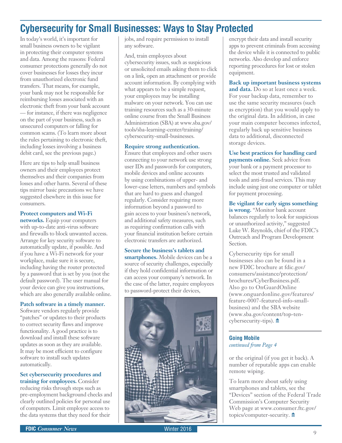# **Cybersecurity for Small Businesses: Ways to Stay Protected**

In today's world, it's important for small business owners to be vigilant in protecting their computer systems and data. Among the reasons: Federal consumer protections generally do not cover businesses for losses they incur from unauthorized electronic fund transfers. That means, for example, your bank may not be responsible for reimbursing losses associated with an electronic theft from your bank account — for instance, if there was negligence on the part of your business, such as unsecured computers or falling for common scams. (To learn more about the rules pertaining to electronic theft, including losses involving a business debit card, see the previous page.)

Here are tips to help small business owners and their employees protect themselves and their companies from losses and other harm. Several of these tips mirror basic precautions we have suggested elsewhere in this issue for consumers.

### **Protect computers and Wi-Fi**

**networks.** Equip your computers with up-to-date anti-virus software and firewalls to block unwanted access. Arrange for key security software to automatically update, if possible. And if you have a Wi-Fi network for your workplace, make sure it is secure, including having the router protected by a password that is set by you (not the default password). The user manual for your device can give you instructions, which are also generally available online.

### **Patch software in a timely manner.**

Software vendors regularly provide "patches" or updates to their products to correct security flaws and improve functionality. A good practice is to download and install these software updates as soon as they are available. It may be most efficient to configure software to install such updates automatically.

**Set cybersecurity procedures and training for employees.** Consider

reducing risks through steps such as pre-employment background checks and clearly outlined policies for personal use of computers. Limit employee access to the data systems that they need for their

jobs, and require permission to install any software.

And, train employees about cybersecurity issues, such as suspicious or unsolicited emails asking them to click on a link, open an attachment or provide account information. By complying with what appears to be a simple request, your employees may be installing malware on your network. You can use training resources such as a 30-minute online course from the Small Business Administration (SBA) at www.sba.gov/ tools/sba-learning-center/training/ cybersecurity-small-businesses.

#### **Require strong authentication.**

Ensure that employees and other users connecting to your network use strong user IDs and passwords for computers, mobile devices and online accounts by using combinations of upper- and lower-case letters, numbers and symbols that are hard to guess and changed regularly. Consider requiring more information beyond a password to gain access to your business's network, and additional safety measures, such as requiring confirmation calls with your financial institution before certain electronic transfers are authorized.

### **Secure the business's tablets and**

**smartphones.** Mobile devices can be a source of security challenges, especially if they hold confidential information or can access your company's network. In the case of the latter, require employees to password-protect their devices,



encrypt their data and install security apps to prevent criminals from accessing the device while it is connected to public networks. Also develop and enforce reporting procedures for lost or stolen equipment.

**Back up important business systems and data.** Do so at least once a week. For your backup data, remember to use the same security measures (such as encryption) that you would apply to the original data. In addition, in case your main computer becomes infected, regularly back up sensitive business data to additional, disconnected storage devices.

**Use best practices for handling card payments online.** Seek advice from your bank or a payment processor to select the most trusted and validated tools and anti-fraud services. This may include using just one computer or tablet for payment processing.

**Be vigilant for early signs something is wrong.** "Monitor bank account balances regularly to look for suspicious or unauthorized activity," suggested Luke W. Reynolds, chief of the FDIC's Outreach and Program Development Section.

Cybersecurity tips for small businesses also can be found in a new FDIC brochure at fdic.gov/ consumers/assistance/protection/ brochures/CyberBusiness.pdf. Also go to OnGuardOnline (www.onguardonline.gov/features/ feature-0007-featured-info-smallbusiness) and the SBA website (www.sba.gov/content/top-ten $cy$ bersecurity-tips).

### **Going Mobile** *continued from Page 4*

or the original (if you get it back). A number of reputable apps can enable remote wiping.

To learn more about safely using smartphones and tablets, see the "Devices" section of the Federal Trade Commission's Computer Security Web page at www.consumer.ftc.gov/ topics/computer-security.  $\blacksquare$ 

<sup>9</sup> **FDIC** *Consumer News* Winter 2016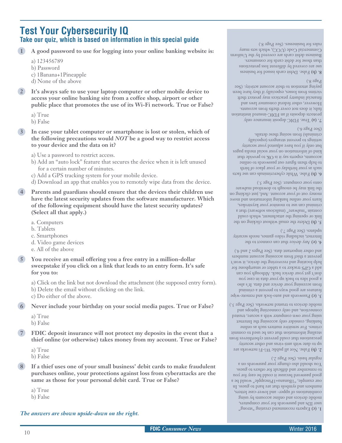### **Test Your Cybersecurity IQ** Take our quiz, which is based on information in this special guide

**1 A good password to use for logging into your online banking website is:**

- a) 123456789
- b) Password
- c) 1Banana+1Pineapple
- d) None of the above
- It's always safe to use your laptop computer or other mobile device to  **access your online banking site from a coffee shop, airport or other public place that promotes the use of its Wi-Fi network. True or False?**

a) True

b) False

- **3 In case your tablet computer or smartphone is lost or stolen, which of the following precautions would** *NOT* **be a good way to restrict access to your device and the data on it?**
	- a) Use a password to restrict access.
	- b) Add an "auto lock" feature that secures the device when it is left unused for a certain number of minutes.
	- c) Add a GPS tracking system for your mobile device.
	- d) Download an app that enables you to remotely wipe data from the device.
- **4 Parents and guardians should ensure that the devices their children use have the latest security updates from the software manufacturer. Which of the following equipment should have the latest security updates? (Select all that apply.)**
	- a. Computers
	- b. Tablets
	- c. Smartphones
	- d. Video game devices
	- e. All of the above

**5 You receive an email offering you a free entry in a million-dollar sweepstake if you click on a link that leads to an entry form. It's safe for you to:** 

 a) Click on the link but not download the attachment (the supposed entry form). b) Delete the email without clicking on the link.

c) Do either of the above.

**6 Never include your birthday on your social media pages. True or False?** 

 a) True b) False

**7 FDIC deposit insurance will not protect my deposits in the event that a thief online (or otherwise) takes money from my account. True or False?**

 a) True b) False

**8 If a thief uses one of your small business' debit cards to make fraudulent purchases online, your protections against loss from cyberattacks are the same as those for your personal debit card. True or False?**

 a) True b) False

*The answers are shown upside-down on the right.*

 False. Debit cards issued for business **8. (b)** use are covered by different loss protections than those for debit cards for consumers. Business debit cards are covered by the Uniform Commercial Code (UCC), which sets many rules for businesses. (See Page 8.)

True. FDIC deposit insurance only **7. (a)**  protects deposits if an FDIC-insured institution fails; it does not cover thefts from accounts. However, other federal consumer laws and financial industry practices may protect theft victims from losses, especially if they have been paying attention to their account activity. (See  $P_{\text{age}}(8)$ 

(See Page 6.)

 False. While cybercriminals can use facts **6. (b)** such as your birthday or your place of birth to help them figure out passwords to online accounts, experts say it is OK to provide that kind of information on your social media pages but only if you have adjusted your security settings to prevent strangers (especially criminals) from seeing these details.

 Delete the email without clicking on the **5. (b)** link or opening the attachment, which could contain "malware" (malicious software) that a criminal can use to monitor your keystrokes, learn your online banking information and move money out of your account. And, just clicking on the link may be enough to download malware onto your computer. (See Page 5.)

 $A$ . (e) Any device that can connect to the Internet, including video games, needs security updates. (See Page 7.)

 Passwords and auto-lock and remote-wipe **3. (c)** features are good ways to prevent a criminal from accessing your device and data. It's also a good idea to back up your data in case you don't get your device back. Although you can add a GPS tracker to a tablet or smartphone for help locating and recovering the device, it won't prevent a thief from accessing account numbers and other important data. (See Pages 2 and 4.)

2. **(b)** False. Not all public Wi-Fi networks are up to date with anti-virus and other security precautions that could prevent cyberthieves from stealing information that can be used to commit crimes. For sensitive matters such as online banking, consider only accessing the Internet using your own computer with a secure, trusted connection, and only connecting laptops and mobile devices to trusted networks. (See Page 3.)

regular basis. (See Page 2.)

 Experts recommend creating "strong" **1. (c)** user IDs and passwords for your computers, mobile devices and online accounts by using combinations of upper- and lower-case letters, numbers and symbols that are hard to guess. In our example, "1Banana+1Pineapple" would be a good password because it could be easy for you to remember and difficult for others to guess.  $X$ ou spould also change your passwords on a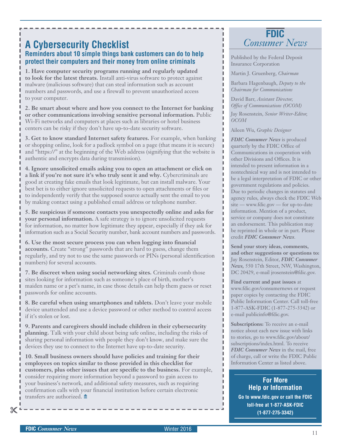### **A Cybersecurity Checklist** Reminders about 10 simple things bank customers can do to help **protect their computers and their money from online criminals**

**1. Have computer security programs running and regularly updated to look for the latest threats.** Install anti-virus software to protect against malware (malicious software) that can steal information such as account numbers and passwords, and use a firewall to prevent unauthorized access to your computer.

**2. Be smart about where and how you connect to the Internet for banking or other communications involving sensitive personal information.** Public Wi-Fi networks and computers at places such as libraries or hotel business centers can be risky if they don't have up-to-date security software.

**3. Get to know standard Internet safety features.** For example, when banking or shopping online, look for a padlock symbol on a page (that means it is secure) and "https://" at the beginning of the Web address (signifying that the website is authentic and encrypts data during transmission).

**4. Ignore unsolicited emails asking you to open an attachment or click on a link if you're not sure it's who truly sent it and why.** Cybercriminals are good at creating fake emails that look legitimate, but can install malware. Your best bet is to either ignore unsolicited requests to open attachments or files or to independently verify that the supposed source actually sent the email to you by making contact using a published email address or telephone number.

**5. Be suspicious if someone contacts you unexpectedly online and asks for your personal information.** A safe strategy is to ignore unsolicited requests for information, no matter how legitimate they appear, especially if they ask for information such as a Social Security number, bank account numbers and passwords.

**6. Use the most secure process you can when logging into financial accounts.** Create "strong" passwords that are hard to guess, change them regularly, and try not to use the same passwords or PINs (personal identification numbers) for several accounts.

**7. Be discreet when using social networking sites.** Criminals comb those sites looking for information such as someone's place of birth, mother's maiden name or a pet's name, in case those details can help them guess or reset passwords for online accounts.

**8. Be careful when using smartphones and tablets.** Don't leave your mobile device unattended and use a device password or other method to control access if it's stolen or lost.

**9. Parents and caregivers should include children in their cybersecurity planning.** Talk with your child about being safe online, including the risks of sharing personal information with people they don't know, and make sure the devices they use to connect to the Internet have up-to-date security.

**10. Small business owners should have policies and training for their employees on topics similar to those provided in this checklist for customers, plus other issues that are specific to the business.** For example, consider requiring more information beyond a password to gain access to your business's network, and additional safety measures, such as requiring confirmation calls with your financial institution before certain electronic transfers are authorized.  $\hat{m}$ 



Published by the Federal Deposit Insurance Corporation

Martin J. Gruenberg, *Chairman*

Barbara Hagenbaugh, *Deputy to the Chairman for Communications*

David Barr, *Assistant Director, Office of Communications (OCOM)*

Jay Rosenstein, *Senior Writer-Editor, OCOM* 

Aileen Wu, *Graphic Designer*

*FDIC Consumer News* is produced quarterly by the FDIC Office of Communications in cooperation with other Divisions and Offices. It is intended to present information in a nontechnical way and is not intended to be a legal interpretation of FDIC or other government regulations and policies. Due to periodic changes in statutes and agency rules, always check the FDIC Web site — www.fdic.gov — for up-to-date information. Mention of a product, service or company does not constitute an endorsement. This publication may be reprinted in whole or in part. Please credit *FDIC Consumer News*.

**Send your story ideas, comments, and other suggestions or questions to:** Jay Rosenstein, Editor, *FDIC Consumer News,* 550 17th Street, NW, Washington, DC 20429, e-mail jrosenstein@fdic.gov.

**Find current and past issues** at www.fdic.gov/consumernews or request paper copies by contacting the FDIC Public Information Center. Call toll-free 1-877-ASK-FDIC (1-877-275-3342) or e-mail publicinfo@fdic.gov.

**Subscriptions:** To receive an e-mail notice about each new issue with links to stories, go to www.fdic.gov/about/ subscriptions/index.html. To receive *FDIC Consumer News* in the mail, free of charge, call or write the FDIC Public Information Center as listed above.

### **For More Help** or Information

**Go to www.fdic.gov or call the FDIC** toll-free at 1-877-ASK-FDIC